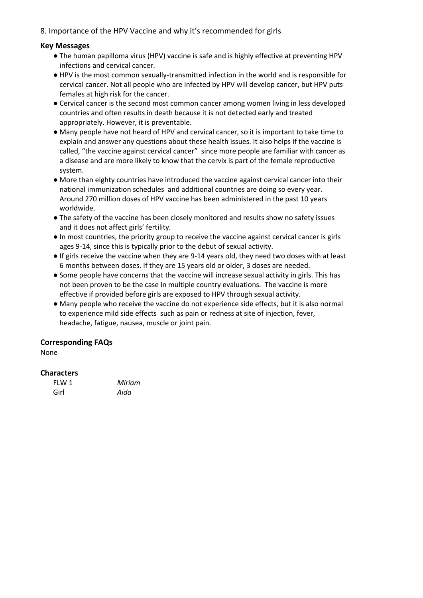# 8. Importance of the HPV Vaccine and why it's recommended for girls

## **Key Messages**

- The human papilloma virus (HPV) vaccine is safe and is highly effective at preventing HPV infections and cervical cancer.
- HPV is the most common sexually-transmitted infection in the world and is responsible for cervical cancer. Not all people who are infected by HPV will develop cancer, but HPV puts females at high risk for the cancer.
- Cervical cancer is the second most common cancer among women living in less developed countries and often results in death because it is not detected early and treated appropriately. However, it is preventable.
- Many people have not heard of HPV and cervical cancer, so it is important to take time to explain and answer any questions about these health issues. It also helps if the vaccine is called, "the vaccine against cervical cancer" since more people are familiar with cancer as a disease and are more likely to know that the cervix is part of the female reproductive system.
- More than eighty countries have introduced the vaccine against cervical cancer into their national immunization schedules and additional countries are doing so every year. Around 270 million doses of HPV vaccine has been administered in the past 10 years worldwide.
- The safety of the vaccine has been closely monitored and results show no safety issues and it does not affect girls' fertility.
- In most countries, the priority group to receive the vaccine against cervical cancer is girls ages 9-14, since this is typically prior to the debut of sexual activity.
- If girls receive the vaccine when they are 9-14 years old, they need two doses with at least 6 months between doses. If they are 15 years old or older, 3 doses are needed.
- Some people have concerns that the vaccine will increase sexual activity in girls. This has not been proven to be the case in multiple country evaluations. The vaccine is more effective if provided before girls are exposed to HPV through sexual activity.
- Many people who receive the vaccine do not experience side effects, but it is also normal to experience mild side effects such as pain or redness at site of injection, fever, headache, fatigue, nausea, muscle or joint pain.

# **Corresponding FAQs**

None

#### **Characters**

| FIW 1 | Miriam |
|-------|--------|
| Girl  | Aida   |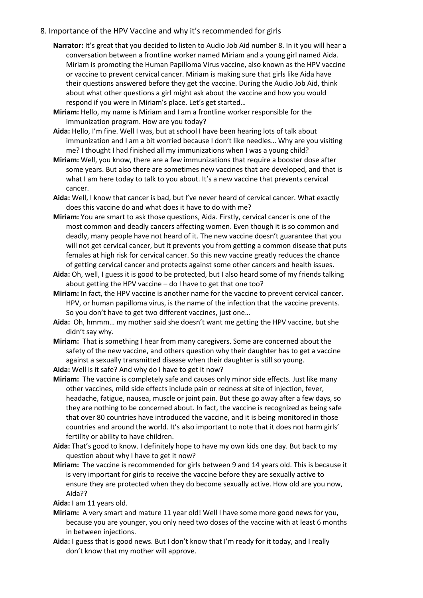### 8. Importance of the HPV Vaccine and why it's recommended for girls

- **Narrator:** It's great that you decided to listen to Audio Job Aid number 8. In it you will hear a conversation between a frontline worker named Miriam and a young girl named Aida. Miriam is promoting the Human Papilloma Virus vaccine, also known as the HPV vaccine or vaccine to prevent cervical cancer. Miriam is making sure that girls like Aida have their questions answered before they get the vaccine. During the Audio Job Aid, think about what other questions a girl might ask about the vaccine and how you would respond if you were in Miriam's place. Let's get started…
- **Miriam:** Hello, my name is Miriam and I am a frontline worker responsible for the immunization program. How are you today?
- **Aida:** Hello, I'm fine. Well I was, but at school I have been hearing lots of talk about immunization and I am a bit worried because I don't like needles… Why are you visiting me? I thought I had finished all my immunizations when I was a young child?
- **Miriam:** Well, you know, there are a few immunizations that require a booster dose after some years. But also there are sometimes new vaccines that are developed, and that is what I am here today to talk to you about. It's a new vaccine that prevents cervical cancer.
- **Aida:** Well, I know that cancer is bad, but I've never heard of cervical cancer. What exactly does this vaccine do and what does it have to do with me?
- **Miriam:** You are smart to ask those questions, Aida. Firstly, cervical cancer is one of the most common and deadly cancers affecting women. Even though it is so common and deadly, many people have not heard of it. The new vaccine doesn't guarantee that you will not get cervical cancer, but it prevents you from getting a common disease that puts females at high risk for cervical cancer. So this new vaccine greatly reduces the chance of getting cervical cancer and protects against some other cancers and health issues.
- **Aida:** Oh, well, I guess it is good to be protected, but I also heard some of my friends talking about getting the HPV vaccine – do I have to get that one too?
- **Miriam:** In fact, the HPV vaccine is another name for the vaccine to prevent cervical cancer. HPV, or human papilloma virus, is the name of the infection that the vaccine prevents. So you don't have to get two different vaccines, just one…
- **Aida:** Oh, hmmm… my mother said she doesn't want me getting the HPV vaccine, but she didn't say why.
- **Miriam:** That is something I hear from many caregivers. Some are concerned about the safety of the new vaccine, and others question why their daughter has to get a vaccine against a sexually transmitted disease when their daughter is still so young.
- **Aida:** Well is it safe? And why do I have to get it now?
- **Miriam:** The vaccine is completely safe and causes only minor side effects. Just like many other vaccines, mild side effects include pain or redness at site of injection, fever, headache, fatigue, nausea, muscle or joint pain. But these go away after a few days, so they are nothing to be concerned about. In fact, the vaccine is recognized as being safe that over 80 countries have introduced the vaccine, and it is being monitored in those countries and around the world. It's also important to note that it does not harm girls' fertility or ability to have children.
- **Aida:** That's good to know. I definitely hope to have my own kids one day. But back to my question about why I have to get it now?
- **Miriam:** The vaccine is recommended for girls between 9 and 14 years old. This is because it is very important for girls to receive the vaccine before they are sexually active to ensure they are protected when they do become sexually active. How old are you now, Aida??

**Aida:** I am 11 years old.

- **Miriam:** A very smart and mature 11 year old! Well I have some more good news for you, because you are younger, you only need two doses of the vaccine with at least 6 months in between injections.
- **Aida:** I guess that is good news. But I don't know that I'm ready for it today, and I really don't know that my mother will approve.